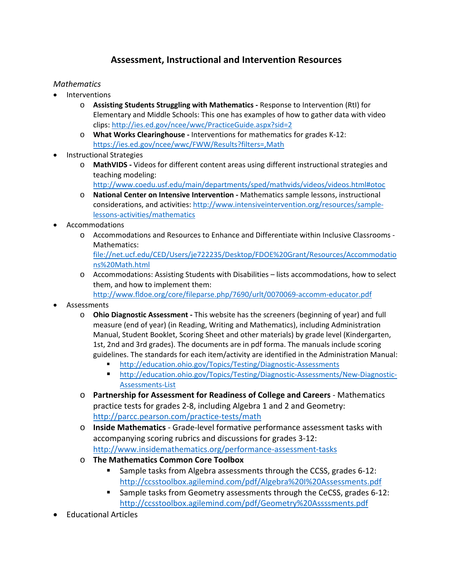# **Assessment, Instructional and Intervention Resources**

#### *Mathematics*

- **Interventions** 
	- o **Assisting Students Struggling with Mathematics -** Response to Intervention (RtI) for Elementary and Middle Schools: This one has examples of how to gather data with video clips: <http://ies.ed.gov/ncee/wwc/PracticeGuide.aspx?sid=2>
	- o **What Works Clearinghouse -** Interventions for mathematics for grades K-12: <https://ies.ed.gov/ncee/wwc/FWW/Results?filters=,Math>
- Instructional Strategies
	- o **MathVIDS -** Videos for different content areas using different instructional strategies and teaching modeling:
		- <http://www.coedu.usf.edu/main/departments/sped/mathvids/videos/videos.html#otoc>
	- o **National Center on Intensive Intervention -** Mathematics sample lessons, instructional considerations, and activities: [http://www.intensiveintervention.org/resources/sample](http://www.intensiveintervention.org/resources/sample-lessons-activities/mathematics)[lessons-activities/mathematics](http://www.intensiveintervention.org/resources/sample-lessons-activities/mathematics)
- Accommodations
	- o Accommodations and Resources to Enhance and Differentiate within Inclusive Classrooms Mathematics:

[file://net.ucf.edu/CED/Users/je722235/Desktop/FDOE%20Grant/Resources/Accommodatio](file://net.ucf.edu/CED/Users/je722235/Desktop/FDOE%20Grant/Resources/Accommodations%20Math.html) [ns%20Math.html](file://net.ucf.edu/CED/Users/je722235/Desktop/FDOE%20Grant/Resources/Accommodations%20Math.html)

o Accommodations: Assisting Students with Disabilities – lists accommodations, how to select them, and how to implement them:

<http://www.fldoe.org/core/fileparse.php/7690/urlt/0070069-accomm-educator.pdf>

- **Assessments** 
	- o **Ohio Diagnostic Assessment -** This website has the screeners (beginning of year) and full measure (end of year) (in Reading, Writing and Mathematics), including Administration Manual, Student Booklet, Scoring Sheet and other materials) by grade level (Kindergarten, 1st, 2nd and 3rd grades). The documents are in pdf forma. The manuals include scoring guidelines. The standards for each item/activity are identified in the Administration Manual:
		- <http://education.ohio.gov/Topics/Testing/Diagnostic-Assessments>
		- **[http://education.ohio.gov/Topics/Testing/Diagnostic-Assessments/New-Diagnostic-](http://education.ohio.gov/Topics/Testing/Diagnostic-Assessments/New-Diagnostic-Assessments-List)**[Assessments-List](http://education.ohio.gov/Topics/Testing/Diagnostic-Assessments/New-Diagnostic-Assessments-List)
	- o **Partnership for Assessment for Readiness of College and Careers** Mathematics practice tests for grades 2-8, including Algebra 1 and 2 and Geometry: <http://parcc.pearson.com/practice-tests/math>
	- o **Inside Mathematics** Grade-level formative performance assessment tasks with accompanying scoring rubrics and discussions for grades 3-12: <http://www.insidemathematics.org/performance-assessment-tasks>
	- o **The Mathematics Common Core Toolbox**
		- Sample tasks from Algebra assessments through the CCSS, grades 6-12: <http://ccsstoolbox.agilemind.com/pdf/Algebra%20I%20Assessments.pdf>
		- Sample tasks from Geometry assessments through the CeCSS, grades 6-12: [http://ccsstoolbox.agilemind.com/pdf/Geometry%20Assssments.pdf](http://ccsstoolbox.agilemind.com/pdf/Geometry%20Assessments.pdf)
- Educational Articles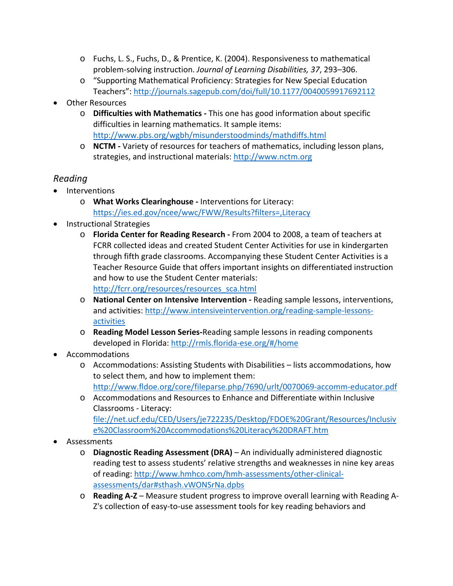- o Fuchs, L. S., Fuchs, D., & Prentice, K. (2004). Responsiveness to mathematical problem-solving instruction. *Journal of Learning Disabilities, 37*, 293–306.
- o "Supporting Mathematical Proficiency: Strategies for New Special Education Teachers"[: http://journals.sagepub.com/doi/full/10.1177/0040059917692112](http://journals.sagepub.com/doi/full/10.1177/0040059917692112)
- Other Resources
	- o **Difficulties with Mathematics -** This one has good information about specific difficulties in learning mathematics. It sample items: <http://www.pbs.org/wgbh/misunderstoodminds/mathdiffs.html>
	- o **NCTM -** Variety of resources for teachers of mathematics, including lesson plans, strategies, and instructional materials: [http://www.nctm.org](http://www.nctm.org/)

# *Reading*

- Interventions
	- o **What Works Clearinghouse -** Interventions for Literacy: <https://ies.ed.gov/ncee/wwc/FWW/Results?filters=,Literacy>
- Instructional Strategies
	- o **Florida Center for Reading Research -** From 2004 to 2008, a team of teachers at FCRR collected ideas and created Student Center Activities for use in kindergarten through fifth grade classrooms. Accompanying these Student Center Activities is a Teacher Resource Guide that offers important insights on differentiated instruction and how to use the Student Center materials:

[http://fcrr.org/resources/resources\\_sca.html](http://fcrr.org/resources/resources_sca.html)

- o **National Center on Intensive Intervention -** Reading sample lessons, interventions, and activities: [http://www.intensiveintervention.org/reading-sample-lessons](http://www.intensiveintervention.org/reading-sample-lessons-activities)[activities](http://www.intensiveintervention.org/reading-sample-lessons-activities)
- o **Reading Model Lesson Series-**Reading sample lessons in reading components developed in Florida:<http://rmls.florida-ese.org/#/home>
- Accommodations
	- o Accommodations: Assisting Students with Disabilities lists accommodations, how to select them, and how to implement them: <http://www.fldoe.org/core/fileparse.php/7690/urlt/0070069-accomm-educator.pdf>
	- o Accommodations and Resources to Enhance and Differentiate within Inclusive Classrooms - Literacy: [file://net.ucf.edu/CED/Users/je722235/Desktop/FDOE%20Grant/Resources/Inclusiv](file://net.ucf.edu/CED/Users/je722235/Desktop/FDOE%20Grant/Resources/Inclusive%20Classroom%20Accommodations%20Literacy%20DRAFT.htm) [e%20Classroom%20Accommodations%20Literacy%20DRAFT.htm](file://net.ucf.edu/CED/Users/je722235/Desktop/FDOE%20Grant/Resources/Inclusive%20Classroom%20Accommodations%20Literacy%20DRAFT.htm)
- Assessments
	- o **Diagnostic Reading Assessment (DRA)** An individually administered diagnostic reading test to assess students' relative strengths and weaknesses in nine key areas of reading: [http://www.hmhco.com/hmh-assessments/other-clinical](http://www.hmhco.com/hmh-assessments/other-clinical-assessments/dar#sthash.vWONSrNa.dpbs)[assessments/dar#sthash.vWONSrNa.dpbs](http://www.hmhco.com/hmh-assessments/other-clinical-assessments/dar#sthash.vWONSrNa.dpbs)
	- o **Reading A-Z** Measure student progress to improve overall learning with Reading A-Z's collection of easy-to-use assessment tools for key reading behaviors and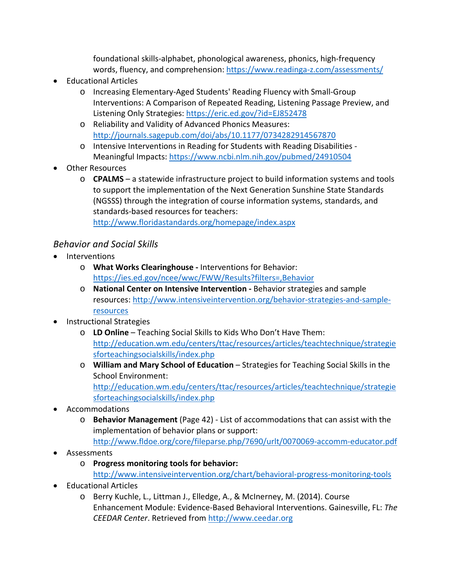foundational skills-alphabet, phonological awareness, phonics, high-frequency words, fluency, and comprehension:<https://www.readinga-z.com/assessments/>

- Educational Articles
	- o Increasing Elementary-Aged Students' Reading Fluency with Small-Group Interventions: A Comparison of Repeated Reading, Listening Passage Preview, and Listening Only Strategies:<https://eric.ed.gov/?id=EJ852478>
	- o Reliability and Validity of Advanced Phonics Measures: <http://journals.sagepub.com/doi/abs/10.1177/0734282914567870>
	- o Intensive Interventions in Reading for Students with Reading Disabilities Meaningful Impacts:<https://www.ncbi.nlm.nih.gov/pubmed/24910504>
- Other Resources
	- o **CPALMS** a statewide infrastructure project to build information systems and tools to support the implementation of the Next Generation Sunshine State Standards (NGSSS) through the integration of course information systems, standards, and standards-based resources for teachers: <http://www.floridastandards.org/homepage/index.aspx>

### *Behavior and Social Skills*

- Interventions
	- o **What Works Clearinghouse -** Interventions for Behavior: <https://ies.ed.gov/ncee/wwc/FWW/Results?filters=,Behavior>
	- o **National Center on Intensive Intervention -** Behavior strategies and sample resources: [http://www.intensiveintervention.org/behavior-strategies-and-sample](http://www.intensiveintervention.org/behavior-strategies-and-sample-resources)[resources](http://www.intensiveintervention.org/behavior-strategies-and-sample-resources)
- Instructional Strategies
	- o **LD Online** Teaching Social Skills to Kids Who Don't Have Them: [http://education.wm.edu/centers/ttac/resources/articles/teachtechnique/strategie](http://education.wm.edu/centers/ttac/resources/articles/teachtechnique/strategiesforteachingsocialskills/index.php) [sforteachingsocialskills/index.php](http://education.wm.edu/centers/ttac/resources/articles/teachtechnique/strategiesforteachingsocialskills/index.php)
	- o **William and Mary School of Education** Strategies for Teaching Social Skills in the School Environment: [http://education.wm.edu/centers/ttac/resources/articles/teachtechnique/strategie](http://education.wm.edu/centers/ttac/resources/articles/teachtechnique/strategiesforteachingsocialskills/index.php) [sforteachingsocialskills/index.php](http://education.wm.edu/centers/ttac/resources/articles/teachtechnique/strategiesforteachingsocialskills/index.php)
- **Accommodations** 
	- o **Behavior Management** (Page 42) List of accommodations that can assist with the implementation of behavior plans or support: <http://www.fldoe.org/core/fileparse.php/7690/urlt/0070069-accomm-educator.pdf>
- Assessments
	- o **Progress monitoring tools for behavior:**

<http://www.intensiveintervention.org/chart/behavioral-progress-monitoring-tools>

- Educational Articles
	- o Berry Kuchle, L., Littman J., Elledge, A., & McInerney, M. (2014). Course Enhancement Module: Evidence-Based Behavioral Interventions. Gainesville, FL: *The CEEDAR Center*. Retrieved from [http://www.ceedar.org](http://www.ceedar.org/)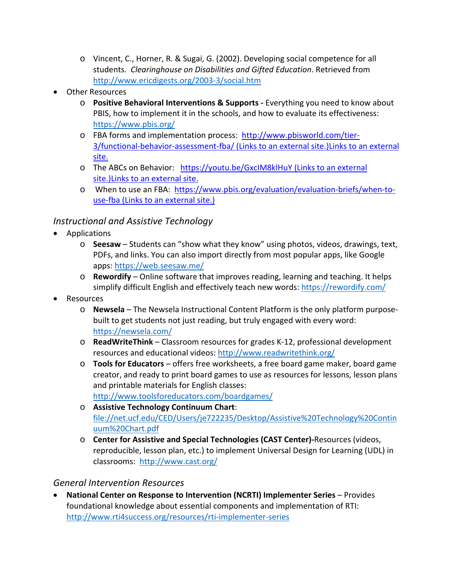- o Vincent, C., Horner, R. & Sugai, G. (2002). Developing social competence for all students. *Clearinghouse on Disabilities and Gifted Education*. Retrieved from <http://www.ericdigests.org/2003-3/social.htm>
- Other Resources
	- o **Positive Behavioral Interventions & Supports -** Everything you need to know about PBIS, how to implement it in the schools, and how to evaluate its effectiveness: <https://www.pbis.org/>
	- o FBA forms and implementation process: [http://www.pbisworld.com/tier-](http://www.pbisworld.com/tier-3/functional-behavior-assessment-fba/)3/functional-behavior-assessment-fba/ [\(Links to an external site.\)Links to an external](http://www.pbisworld.com/tier-3/functional-behavior-assessment-fba/)  [site.](http://www.pbisworld.com/tier-3/functional-behavior-assessment-fba/)
	- o The ABCs on Behavior: https://youtu.be/GxcIM8klHuY (Links to an external site.)Links to an external site.
	- o When to use an FBA: [https://www.pbis.org/evaluation/evaluation-briefs/when-to](https://www.pbis.org/evaluation/evaluation-briefs/when-to-use-fba)use-fba [\(Links to an external site.\)](https://www.pbis.org/evaluation/evaluation-briefs/when-to-use-fba)

# *Instructional and Assistive Technology*

- Applications
	- o **Seesaw** Students can "show what they know" using photos, videos, drawings, text, PDFs, and links. You can also import directly from most popular apps, like Google apps:<https://web.seesaw.me/>
	- o **Rewordify** Online software that improves reading, learning and teaching. It helps simplify difficult English and effectively teach new words:<https://rewordify.com/>
- Resources
	- o **Newsela** The Newsela Instructional Content Platform is the only platform purposebuilt to get students not just reading, but truly engaged with every word: <https://newsela.com/>
	- o **ReadWriteThink** Classroom resources for grades K-12, professional development resources and educational videos:<http://www.readwritethink.org/>
	- o **Tools for Educators** offers free worksheets, a free board game maker, board game creator, and ready to print board games to use as resources for lessons, lesson plans and printable materials for English classes: <http://www.toolsforeducators.com/boardgames/>
	- o **Assistive Technology Continuum Chart**: [file://net.ucf.edu/CED/Users/je722235/Desktop/Assistive%20Technology%20Contin](file://net.ucf.edu/CED/Users/je722235/Desktop/Assistive%20Technology%20Continuum%20Chart.pdf) [uum%20Chart.pdf](file://net.ucf.edu/CED/Users/je722235/Desktop/Assistive%20Technology%20Continuum%20Chart.pdf)
	- o **Center for Assistive and Special Technologies (CAST Center)-**Resources (videos, reproducible, lesson plan, etc.) to implement Universal Design for Learning (UDL) in classrooms:<http://www.cast.org/>

## *General Intervention Resources*

• **National Center on Response to Intervention (NCRTI) Implementer Series** – Provides foundational knowledge about essential components and implementation of RTI: <http://www.rti4success.org/resources/rti-implementer-series>